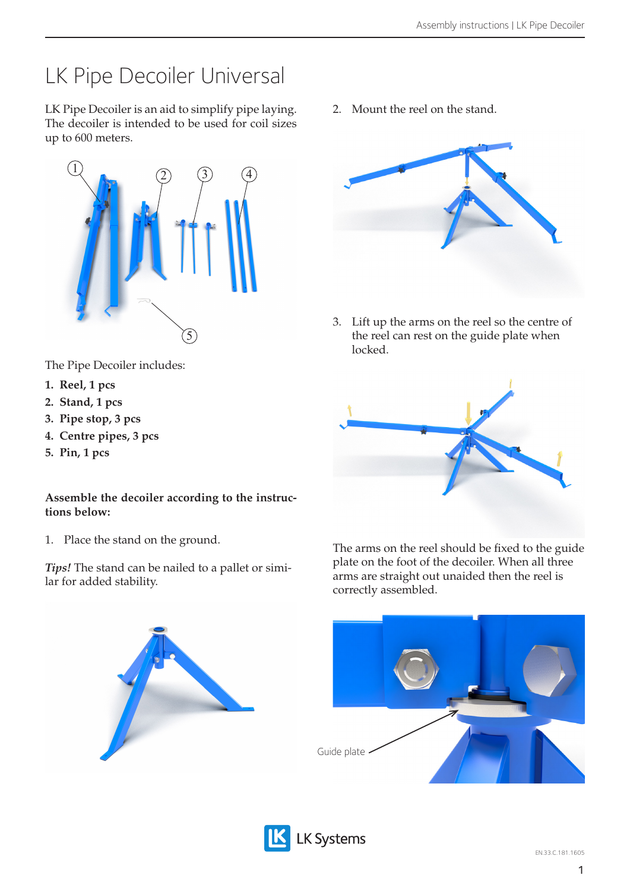## LK Pipe Decoiler Universal

LK Pipe Decoiler is an aid to simplify pipe laying. The decoiler is intended to be used for coil sizes up to 600 meters.



The Pipe Decoiler includes:

- **1. Reel, 1 pcs**
- **2. Stand, 1 pcs**
- **3. Pipe stop, 3 pcs**
- **4. Centre pipes, 3 pcs**
- **5. Pin, 1 pcs**

## **Assemble the decoiler according to the instructions below:**

1. Place the stand on the ground.

*Tips!* The stand can be nailed to a pallet or similar for added stability.

2. Mount the reel on the stand.



3. Lift up the arms on the reel so the centre of the reel can rest on the guide plate when locked.



The arms on the reel should be fixed to the guide plate on the foot of the decoiler. When all three arms are straight out unaided then the reel is correctly assembled.